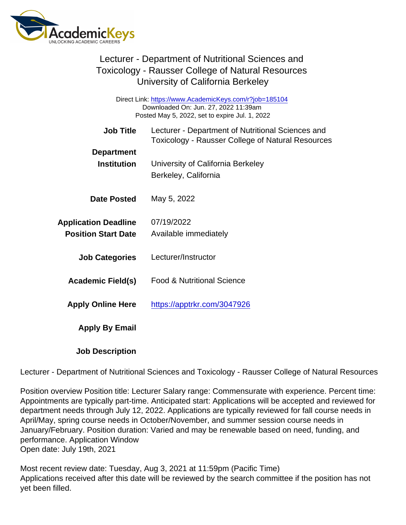Direct Link: <https://www.AcademicKeys.com/r?job=185104> Downloaded On: Jun. 27, 2022 11:39am Posted May 5, 2022, set to expire Jul. 1, 2022

| <b>Job Title</b>            | Lecturer - Department of Nutritional Sciences and<br><b>Toxicology - Rausser College of Natural Resources</b> |
|-----------------------------|---------------------------------------------------------------------------------------------------------------|
| Department                  |                                                                                                               |
| Institution                 | University of California Berkeley                                                                             |
|                             | Berkeley, California                                                                                          |
| Date Posted                 | May 5, 2022                                                                                                   |
| <b>Application Deadline</b> | 07/19/2022                                                                                                    |
| <b>Position Start Date</b>  | Available immediately                                                                                         |
| <b>Job Categories</b>       | Lecturer/Instructor                                                                                           |
| Academic Field(s)           | <b>Food &amp; Nutritional Science</b>                                                                         |
| <b>Apply Online Here</b>    | https://apptrkr.com/3047926                                                                                   |
| Apply By Email              |                                                                                                               |
|                             |                                                                                                               |

Job Description

Lecturer - Department of Nutritional Sciences and Toxicology - Rausser College of Natural Resources

Position overview Position title: Lecturer Salary range: Commensurate with experience. Percent time: Appointments are typically part-time. Anticipated start: Applications will be accepted and reviewed for department needs through July 12, 2022. Applications are typically reviewed for fall course needs in April/May, spring course needs in October/November, and summer session course needs in January/February. Position duration: Varied and may be renewable based on need, funding, and performance. Application Window Open date: July 19th, 2021

Most recent review date: Tuesday, Aug 3, 2021 at 11:59pm (Pacific Time) Applications received after this date will be reviewed by the search committee if the position has not yet been filled.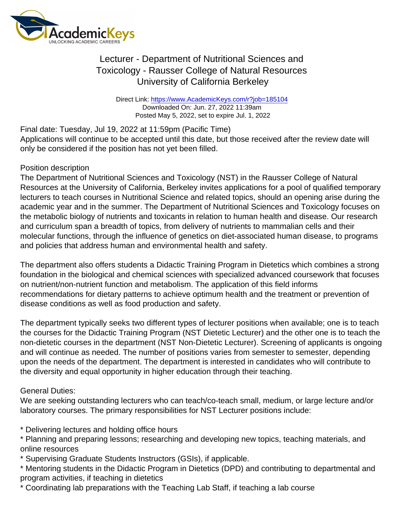Direct Link: <https://www.AcademicKeys.com/r?job=185104> Downloaded On: Jun. 27, 2022 11:39am Posted May 5, 2022, set to expire Jul. 1, 2022

Final date: Tuesday, Jul 19, 2022 at 11:59pm (Pacific Time) Applications will continue to be accepted until this date, but those received after the review date will only be considered if the position has not yet been filled.

#### Position description

The Department of Nutritional Sciences and Toxicology (NST) in the Rausser College of Natural Resources at the University of California, Berkeley invites applications for a pool of qualified temporary lecturers to teach courses in Nutritional Science and related topics, should an opening arise during the academic year and in the summer. The Department of Nutritional Sciences and Toxicology focuses on the metabolic biology of nutrients and toxicants in relation to human health and disease. Our research and curriculum span a breadth of topics, from delivery of nutrients to mammalian cells and their molecular functions, through the influence of genetics on diet-associated human disease, to programs and policies that address human and environmental health and safety.

The department also offers students a Didactic Training Program in Dietetics which combines a strong foundation in the biological and chemical sciences with specialized advanced coursework that focuses on nutrient/non-nutrient function and metabolism. The application of this field informs recommendations for dietary patterns to achieve optimum health and the treatment or prevention of disease conditions as well as food production and safety.

The department typically seeks two different types of lecturer positions when available; one is to teach the courses for the Didactic Training Program (NST Dietetic Lecturer) and the other one is to teach the non-dietetic courses in the department (NST Non-Dietetic Lecturer). Screening of applicants is ongoing and will continue as needed. The number of positions varies from semester to semester, depending upon the needs of the department. The department is interested in candidates who will contribute to the diversity and equal opportunity in higher education through their teaching.

### General Duties:

We are seeking outstanding lecturers who can teach/co-teach small, medium, or large lecture and/or laboratory courses. The primary responsibilities for NST Lecturer positions include:

\* Delivering lectures and holding office hours

\* Planning and preparing lessons; researching and developing new topics, teaching materials, and online resources

\* Supervising Graduate Students Instructors (GSIs), if applicable.

\* Mentoring students in the Didactic Program in Dietetics (DPD) and contributing to departmental and program activities, if teaching in dietetics

\* Coordinating lab preparations with the Teaching Lab Staff, if teaching a lab course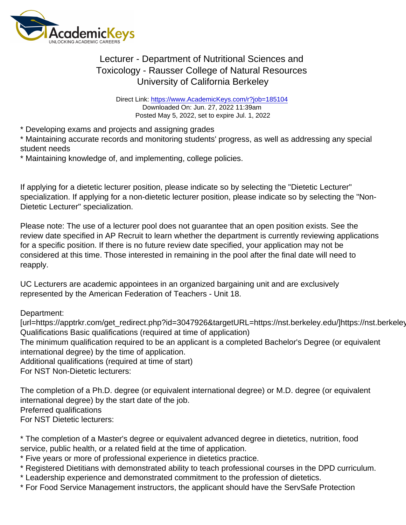Direct Link: <https://www.AcademicKeys.com/r?job=185104> Downloaded On: Jun. 27, 2022 11:39am Posted May 5, 2022, set to expire Jul. 1, 2022

\* Developing exams and projects and assigning grades

\* Maintaining accurate records and monitoring students' progress, as well as addressing any special student needs

\* Maintaining knowledge of, and implementing, college policies.

If applying for a dietetic lecturer position, please indicate so by selecting the "Dietetic Lecturer" specialization. If applying for a non-dietetic lecturer position, please indicate so by selecting the "Non-Dietetic Lecturer" specialization.

Please note: The use of a lecturer pool does not guarantee that an open position exists. See the review date specified in AP Recruit to learn whether the department is currently reviewing applications for a specific position. If there is no future review date specified, your application may not be considered at this time. Those interested in remaining in the pool after the final date will need to reapply.

UC Lecturers are academic appointees in an organized bargaining unit and are exclusively represented by the American Federation of Teachers - Unit 18.

Department:

[url=https://apptrkr.com/get\_redirect.php?id=3047926&targetURL=https://nst.berkeley.edu/]https://nst.berkeley.edu/ Qualifications Basic qualifications (required at time of application) The minimum qualification required to be an applicant is a completed Bachelor's Degree (or equivalent international degree) by the time of application. Additional qualifications (required at time of start)

For NST Non-Dietetic lecturers:

The completion of a Ph.D. degree (or equivalent international degree) or M.D. degree (or equivalent international degree) by the start date of the job. Preferred qualifications For NST Dietetic lecturers:

\* The completion of a Master's degree or equivalent advanced degree in dietetics, nutrition, food service, public health, or a related field at the time of application.

\* Five years or more of professional experience in dietetics practice.

- \* Registered Dietitians with demonstrated ability to teach professional courses in the DPD curriculum.
- \* Leadership experience and demonstrated commitment to the profession of dietetics.
- \* For Food Service Management instructors, the applicant should have the ServSafe Protection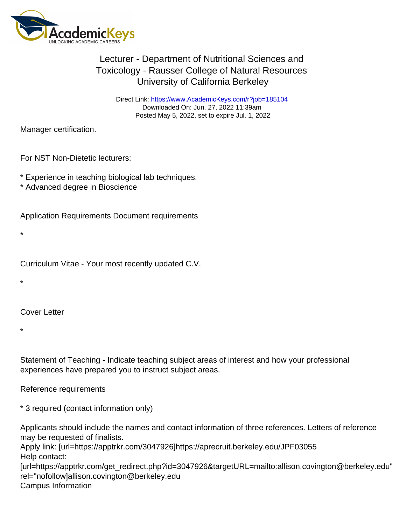Direct Link: <https://www.AcademicKeys.com/r?job=185104> Downloaded On: Jun. 27, 2022 11:39am Posted May 5, 2022, set to expire Jul. 1, 2022

Manager certification.

For NST Non-Dietetic lecturers:

- \* Experience in teaching biological lab techniques.
- \* Advanced degree in Bioscience

Application Requirements Document requirements

\*

Curriculum Vitae - Your most recently updated C.V.

\*

Cover Letter

\*

Statement of Teaching - Indicate teaching subject areas of interest and how your professional experiences have prepared you to instruct subject areas.

Reference requirements

\* 3 required (contact information only)

Applicants should include the names and contact information of three references. Letters of reference may be requested of finalists.

Apply link: [url=https://apptrkr.com/3047926]https://aprecruit.berkeley.edu/JPF03055 Help contact:

[url=https://apptrkr.com/get\_redirect.php?id=3047926&targetURL=mailto:allison.covington@berkeley.edu" rel="nofollow]allison.covington@berkeley.edu Campus Information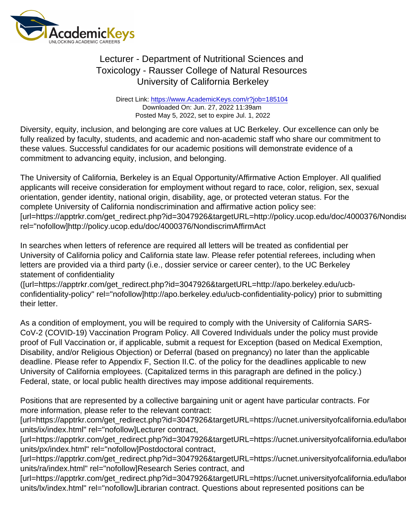Direct Link: <https://www.AcademicKeys.com/r?job=185104> Downloaded On: Jun. 27, 2022 11:39am Posted May 5, 2022, set to expire Jul. 1, 2022

Diversity, equity, inclusion, and belonging are core values at UC Berkeley. Our excellence can only be fully realized by faculty, students, and academic and non-academic staff who share our commitment to these values. Successful candidates for our academic positions will demonstrate evidence of a commitment to advancing equity, inclusion, and belonging.

The University of California, Berkeley is an Equal Opportunity/Affirmative Action Employer. All qualified applicants will receive consideration for employment without regard to race, color, religion, sex, sexual orientation, gender identity, national origin, disability, age, or protected veteran status. For the complete University of California nondiscrimination and affirmative action policy see: [url=https://apptrkr.com/get\_redirect.php?id=3047926&targetURL=http://policy.ucop.edu/doc/4000376/Nondiser rel="nofollow]http://policy.ucop.edu/doc/4000376/NondiscrimAffirmAct

In searches when letters of reference are required all letters will be treated as confidential per University of California policy and California state law. Please refer potential referees, including when letters are provided via a third party (i.e., dossier service or career center), to the UC Berkeley statement of confidentiality

([url=https://apptrkr.com/get\_redirect.php?id=3047926&targetURL=http://apo.berkeley.edu/ucbconfidentiality-policy" rel="nofollow]http://apo.berkeley.edu/ucb-confidentiality-policy) prior to submitting their letter.

As a condition of employment, you will be required to comply with the University of California SARS-CoV-2 (COVID-19) Vaccination Program Policy. All Covered Individuals under the policy must provide proof of Full Vaccination or, if applicable, submit a request for Exception (based on Medical Exemption, Disability, and/or Religious Objection) or Deferral (based on pregnancy) no later than the applicable deadline. Please refer to Appendix F, Section II.C. of the policy for the deadlines applicable to new University of California employees. (Capitalized terms in this paragraph are defined in the policy.) Federal, state, or local public health directives may impose additional requirements.

Positions that are represented by a collective bargaining unit or agent have particular contracts. For more information, please refer to the relevant contract:

[url=https://apptrkr.com/get\_redirect.php?id=3047926&targetURL=https://ucnet.universityofcalifornia.edu/labor units/ix/index.html" rel="nofollow]Lecturer contract,

[url=https://apptrkr.com/get\_redirect.php?id=3047926&targetURL=https://ucnet.universityofcalifornia.edu/labor units/px/index.html" rel="nofollow]Postdoctoral contract,

[url=https://apptrkr.com/get\_redirect.php?id=3047926&targetURL=https://ucnet.universityofcalifornia.edu/labor units/ra/index.html" rel="nofollow]Research Series contract, and

[url=https://apptrkr.com/get\_redirect.php?id=3047926&targetURL=https://ucnet.universityofcalifornia.edu/labor units/lx/index.html" rel="nofollow]Librarian contract. Questions about represented positions can be